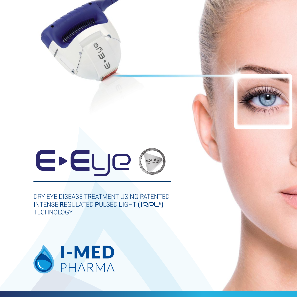

DRY EYE DISEASE TREATMENT USING PATENTED **I**NTENSE **R**EGULATED **P**ULSED **L**IGHT **( ®) TECHNOLOGY** 



Additional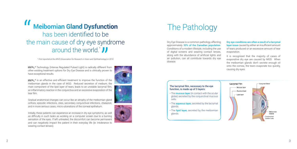

Dry Eye Disease is a common pathology affecting approximately 30% of the Canadian population. Conditions of a modern lifestyle, including the use of digital screens and wearing contact lenses, along with the abundance of artificial lights and air pollution, can all contribute towards dry eye disease.

Dry eye conditions are often a result of a lacrymal layer issue caused by either an insufficient amount of tears produced or an excessive amount of tear evaporation.

- The **mucous layer** (in contact with the ocular globe) secreted by the conjunctival mucous cells.
- The **aqueous layer**, secreted by the lacrymal glands.
- The lipid layer, secreted by the meibomian glands.

It is recognized that the majority of cases of evaporative dry eye are caused by MGD. When the meibomian glands don't secrete enough oil onto the cornea, the tears evaporate too quickly, causing dry eyes.



# **Meibomian Gland Dysfunction** has been identified to be the main cause of dry eye syndrome <sup>1</sup> *First reported at the ARVO* (Association for Research in Vision and Ophthalmology) in 2010<br>
Technology (Intense Regulated Pulsed Light) is radically different from sting treatment options for Dry Eye Disease and is c  $\blacksquare$

**®** Technology (Intense Regulated Pulsed Light) is radically different from other existing treatment options for Dry Eye Disease and is clinically proven to have exceptional results.



Gradual anatomical changes can occur like an atrophy of the meibomian gland orifices, episodic infections, sties, secondary conjunctival infections, chalazion, and in more serious cases, micro-ulcerations of the corneal epithelium.

Initially, these patients can experience an increase in dry eye symptoms, as well as difficulty in such tasks as working on a computer screen due to a burning sensation of the eyes. If left untreated, the discomfort can become permanent and can negatively impact the patient in their everyday life (ie: Intolerance to wearing contact lenses).





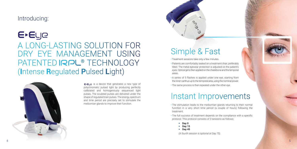#### Introducing:

E-ELJE A LONG-LASTING SOLUTION FOR DRY EYE MANAGEMENT USING PATENTED **IRPL<sup>®</sup>** TECHNOLOGY (**I**ntense **R**egulated **P**ulsed **L**ight)



E-ELIQ is a device that generates a new type of polychromatic pulsed light by producing perfectly calibrated and homogenously sequenced light pulses. The sculpted pulses are delivered under the shape of regulated train pulses. The energy, spectrum and time period are precisely set to stimulate the meibomian glands to improve their function.

- Treatment sessions take only a few minutes.
- Patients are comfortably seated on a treatment chair, preferably tilted. The metal eyewear protection is adjusted on the patient's eyes. Optical gel is then applied on the cheekbone and the temporal areas.
- A series of 5 flashes is applied under one eye, starting from the inner canthus up to the temporal area, using the nominal power.
- The same process is then repeated under the other eye.

- The stimulation leads to the meibomian glands returning to their normal function in a very short time period (a couple of hours) following the treatment.
- The full success of treatment depends on the compliance with a specific protocol. This protocol consists of 3 sessions as follows:
	- **Day 0**
	- $-$  Day 15
	- **Day 45**

## Instant Improvements

## Simple & Fast



*(A fourth session is optional at Day 75).*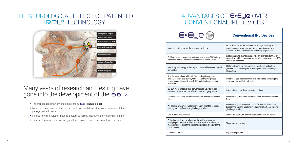- The proposed mechanism of action of the  $E$ - $E \cup e$  is neurological.
- Localized treatment is directed at the lower eyelid and the lower arcades of the parasympathetic nerve.
- Infrared nerve stimulation induces a "return to normal" activity of the meibomian glands.
- Treatment improves meibomian gland function and reduces inflammatory cascades.

#### ADVANTAGES OF E-EUR OVER CONVENTIONAL IPL DEVICES

#### Many years of research and testing have gone into the development of the  $\bar{\epsilon}$ - $\epsilon$ ye.



#### THE NEUROLOGICAL EFFECT OF PATENTED **®** TECHNOLOGY

No certification for the treatment of dry eye, resulting in the practitioner not being covered by insurance in cases of an accident. Practitioner becomes personally responsible.

Sold primarily to dermatologists who are only able to treat dry eye patients with cutaneous rosacea, which represents only 20% of total dry eye cases.

Old lamp technology has a vascular mechanism of action (linked to skin rosacea) and is incompatible with neurological stimulation.



Traditional type flash is divided into sub-pulses all having the same duration and light intensities.

Water-cooling traditional system requires yearly maintenance fees.

Water-cooling system doesn't allow for all the infrared light to reach the patient, resulting in a thermal effect only, with no gland regeneration.

Single user-mode only

Lower cost per unit **Higher cost per unit** Higher cost per unit

#### **Conventional IPL Devices**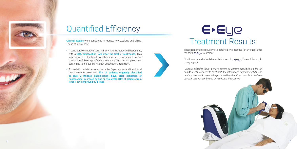Clinical studies were conducted in France, New Zealand and China. These studies show:

# E-Eye Treatment Results

These remarkable results were obtained two months (on average) after the third  $\epsilon$ - $\epsilon$ ue treatment.

- A considerable improvement in the symptoms perceived by patients, with a 90% satisfaction rate after the first 2 treatments. This improvement is clearly felt from the initial treatment session and for several days following the first treatment, with the rate of improvement continuing to increase after each subsequent treatment.
- A correlation exists between the patient's perception and the clinical measurements executed. 45% of patients originally classified as level 2 (Oxford classification) have, after instillation of fluoresceine, improved by one or two levels. 81% of patients from level 1 have improved by 1 level.



Non-invasive and affordable with fast results,  $\epsilon$ - $\epsilon$ ue is revolutionary in many aspects.







*Patients suffering from a more severe pathology, classified on the 3rd and 4th levels, will need to treat both the inferior and superior eyelids. The*  These remarkable results were obtained two months (on average) after<br>the third  $\epsilon$ - $\epsilon$ <sub>L</sub> et reatment.<br>Non-invasive and affordable with fast results,  $\epsilon$ - $\epsilon$ <sub>L</sub> e is revolutionary in<br>many aspects.<br>Patients suffering fr *cases, improvement by one or two levels is expected.*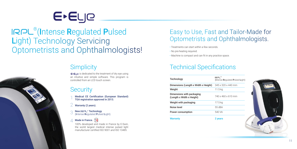### Technical Specifications

| Technology                                             | IRPL <sup>®</sup><br>$($ Intense R |
|--------------------------------------------------------|------------------------------------|
| Dimensions (Length x Width x Height)                   | $345 \times 32$                    |
| Weight                                                 | 11.5 <sub>kg</sub>                 |
| Dimensions with packaging<br>(Length x Width x Height) | 740 x 46                           |
| Weight with packaging                                  | 17.5 kg                            |
| Noise level                                            | 55 dBA                             |
| <b>Power consumption</b>                               | 540 VA                             |
| <b>Warranty</b>                                        | 2 vears                            |

E**EL**Je

®(Intense Regulated Pulsed Light) Technology Servicing Optometrists and Ophthalmologists!

> $E$ -ELI $\epsilon$  is dedicated to the treatment of dry eye using an intuitive and simple software. This program is controlled from an LCD touch screen.

### **Security**

New IRPL<sup>®</sup> Technology (Intense Regulated Pulsed Light). 3

#### Made in France. **10** 4



Medical CE Certification (European Standard) TGA registration approved in 2013. 1

Warranty (2 years). 2

> 100% developed and made in France by E-Swin, the world largest medical intense pulsed light manufacturer certified ISO 9001 and ISO 13485.

#### Easy to Use, Fast and Tailor-Made for Optometrists and Ophthalmologists.

- Treatments can start within a few seconds.
- No pre-heating required.
- Machine is compact and can fit in any practice space.



## **Simplicity**